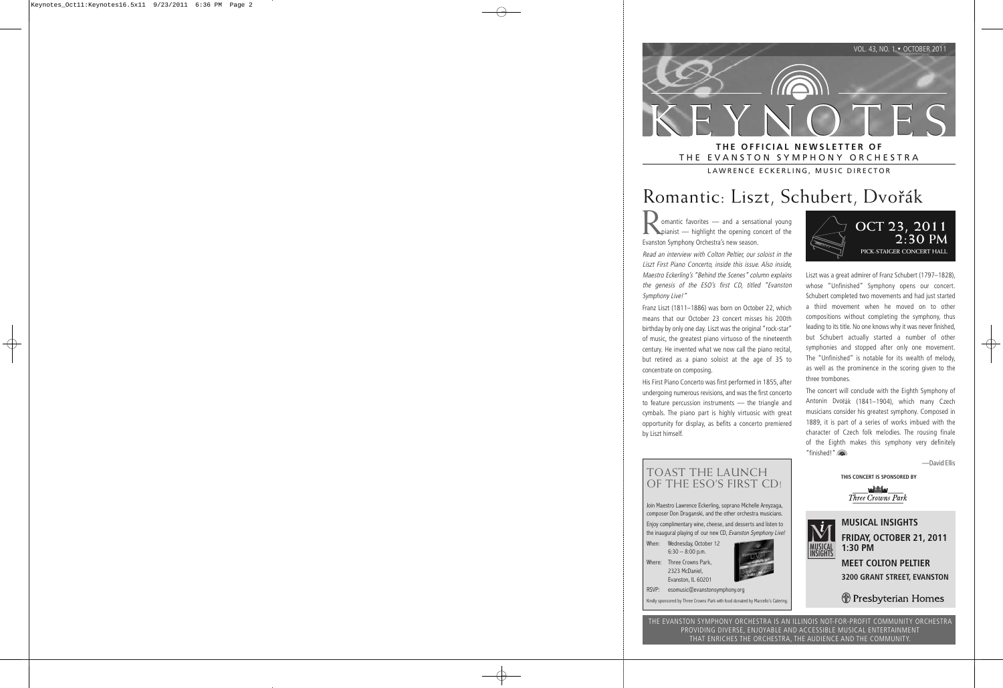

#### THE EVANSTON SYMPHONY ORCHESTRA LAWRENCE ECKERLING, MUSIC DIRECTOR

# Romantic: Liszt, Schubert, Dvořák

omantic favorites — and a sensational young pianist — highlight the opening concert of the Evanston Symphony Orchestra's new season.

Read an interview with Colton Peltier, our soloist in the Liszt First Piano Concerto, inside this issue. Also inside, Maestro Eckerling's "Behind the Scenes" column explains the genesis of the ESO's first CD, titled "Evanston Symphony Live!"

Franz Liszt (1811–1886) was born on October 22, which means that our October 23 concert misses his 200th birthday by only one day. Liszt was the original "rock-star" of music, the greatest piano virtuoso of the nineteenth century. He invented what we now call the piano recital, but retired as a piano soloist at the age of 35 to concentrate on composing.

His First Piano Concerto was first performed in 1855, after undergoing numerous revisions, and was the first concerto to feature percussion instruments — the triangle and cymbals. The piano part is highly virtuosic with great opportunity for display, as befits a concerto premiered by Liszt himself.



Liszt was a great admirer of Franz Schubert (1797–1828), whose "Unfinished" Symphony opens our concert. Schubert completed two movements and had just started a third movement when he moved on to other compositions without completing the symphony, thus leading to its title. No one knows why it was never finished, but Schubert actually started a number of other symphonies and stopped after only one movement. The "Unfinished" is notable for its wealth of melody, as well as the prominence in the scoring given to the three trombones.

The concert will conclude with the Eighth Symphony of Antonin Dvořák (1841–1904), which many Czech musicians consider his greatest symphony. Composed in 1889, it is part of a series of works imbued with the character of Czech folk melodies. The rousing finale of the Eighth makes this symphony very definitely "finished!"

—David Ellis

**THIS CONCERT IS SPONSORED BY**

**ushfuller** Three Crowns Park

## MUSICAL INSIGHTS

#### **MUSICAL INSIGHTS FRIDAY, OCTOBER 21, 2011 1:30 PM**

**MEET COLTON PELTIER 3200 GRANT STREET, EVANSTON**

( ) Presbyterian Homes

OF THE ESO'S FIRST CD! Join Maestro Lawrence Eckerling, soprano Michelle Areyzaga,

TOAST THE LAUNCH

composer Don Draganski, and the other orchestra musicians. Enjoy complimentary wine, cheese, and desserts and listen to the inaugural playing of our new CD, Evanston Symphony Live!

When: Wednesday, October 12  $6:30 - 8:00$  p.m.

Where: Three Crowns Park, 2323 McDaniel, Evanston, IL 60201



RSVP: esomusic@evanstonsymphony.org

Kindly sponsored by Three Crowns Park with food donated by Marcello's Catering.

THE EVANSTON SYMPHONY ORCHESTRA IS AN ILLINOIS NOT-FOR-PROFIT COMMUNITY ORCHESTRA PROVIDING DIVERSE, ENJOYABLE AND ACCESSIBLE MUSICAL ENTERTAINMENT THAT ENRICHES THE ORCHESTRA, THE AUDIENCE AND THE COMMUNITY.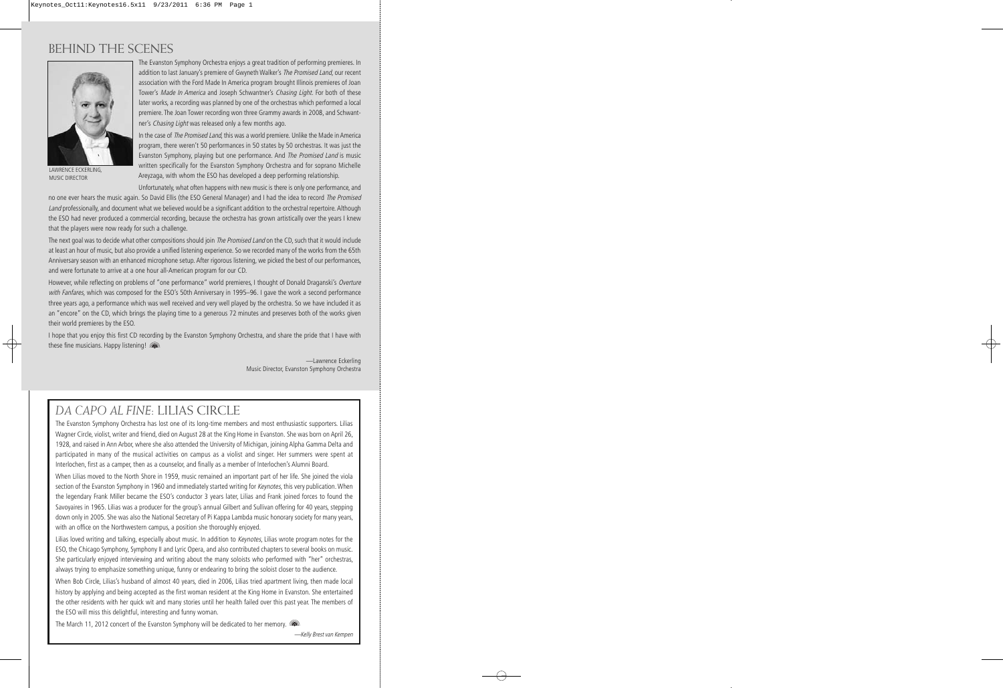## BEHIND THE SCENES



LAWRENCE ECKERLING, MUSIC DIRECTOR

The Evanston Symphony Orchestra enjoys a great tradition of performing premieres. In addition to last January's premiere of Gwyneth Walker's The Promised Land, our recent association with the Ford Made In America program brought Illinois premieres of Joan Tower's Made In America and Joseph Schwantner's Chasing Light. For both of these later works, a recording was planned by one of the orchestras which performed a local premiere. The Joan Tower recording won three Grammy awards in 2008, and Schwantner's Chasing Light was released only a few months ago.

In the case of The Promised Land, this was a world premiere. Unlike the Made in America program, there weren't 50 performances in 50 states by 50 orchestras. It was just the Evanston Symphony, playing but one performance. And The Promised Land is music written specifically for the Evanston Symphony Orchestra and for soprano Michelle Areyzaga, with whom the ESO has developed a deep performing relationship.

Unfortunately, what often happens with new music is there is only one performance, and

no one ever hears the music again. So David Ellis (the ESO General Manager) and I had the idea to record The Promised Land professionally, and document what we believed would be a significant addition to the orchestral repertoire. Although the ESO had never produced a commercial recording, because the orchestra has grown artistically over the years I knew that the players were now ready for such a challenge.

The next goal was to decide what other compositions should join The Promised Land on the CD, such that it would include at least an hour of music, but also provide a unified listening experience. So we recorded many of the works from the 65th Anniversary season with an enhanced microphone setup. After rigorous listening, we picked the best of our performances, and were fortunate to arrive at a one hour all-American program for our CD.

However, while reflecting on problems of "one performance" world premieres, I thought of Donald Draganski's Overture with Fanfares, which was composed for the ESO's 50th Anniversary in 1995–96. I gave the work a second performance three years ago, a performance which was well received and very well played by the orchestra. So we have included it as an "encore" on the CD, which brings the playing time to a generous 72 minutes and preserves both of the works given their world premieres by the ESO.

I hope that you enjoy this first CD recording by the Evanston Symphony Orchestra, and share the pride that I have with these fine musicians. Happy listening!

> —Lawrence Eckerling Music Director, Evanston Symphony Orchestra

## *DA CAPO AL FINE*: LILIAS CIRCLE

The Evanston Symphony Orchestra has lost one of its long-time members and most enthusiastic supporters. Lilias Wagner Circle, violist, writer and friend, died on August 28 at the King Home in Evanston. She was born on April 26, 1928, and raised in Ann Arbor, where she also attended the University of Michigan, joining Alpha Gamma Delta and participated in many of the musical activities on campus as a violist and singer. Her summers were spent at Interlochen, first as a camper, then as a counselor, and finally as a member of Interlochen's Alumni Board.

When Lilias moved to the North Shore in 1959, music remained an important part of her life. She joined the viola section of the Evanston Symphony in 1960 and immediately started writing for Keynotes, this very publication. When the legendary Frank Miller became the ESO's conductor 3 years later, Lilias and Frank joined forces to found the Savoyaires in 1965. Lilias was a producer for the group's annual Gilbert and Sullivan offering for 40 years, stepping down only in 2005. She was also the National Secretary of Pi Kappa Lambda music honorary society for many years, with an office on the Northwestern campus, a position she thoroughly enjoyed.

Lilias loved writing and talking, especially about music. In addition to Keynotes, Lilias wrote program notes for the ESO, the Chicago Symphony, Symphony II and Lyric Opera, and also contributed chapters to several books on music. She particularly enjoyed interviewing and writing about the many soloists who performed with "her" orchestras, always trying to emphasize something unique, funny or endearing to bring the soloist closer to the audience.

When Bob Circle, Lilias's husband of almost 40 years, died in 2006, Lilias tried apartment living, then made local history by applying and being accepted as the first woman resident at the King Home in Evanston. She entertained the other residents with her quick wit and many stories until her health failed over this past year. The members of the ESO will miss this delightful, interesting and funny woman.

The March 11, 2012 concert of the Evanston Symphony will be dedicated to her memory.

—Kelly Brest van Kempen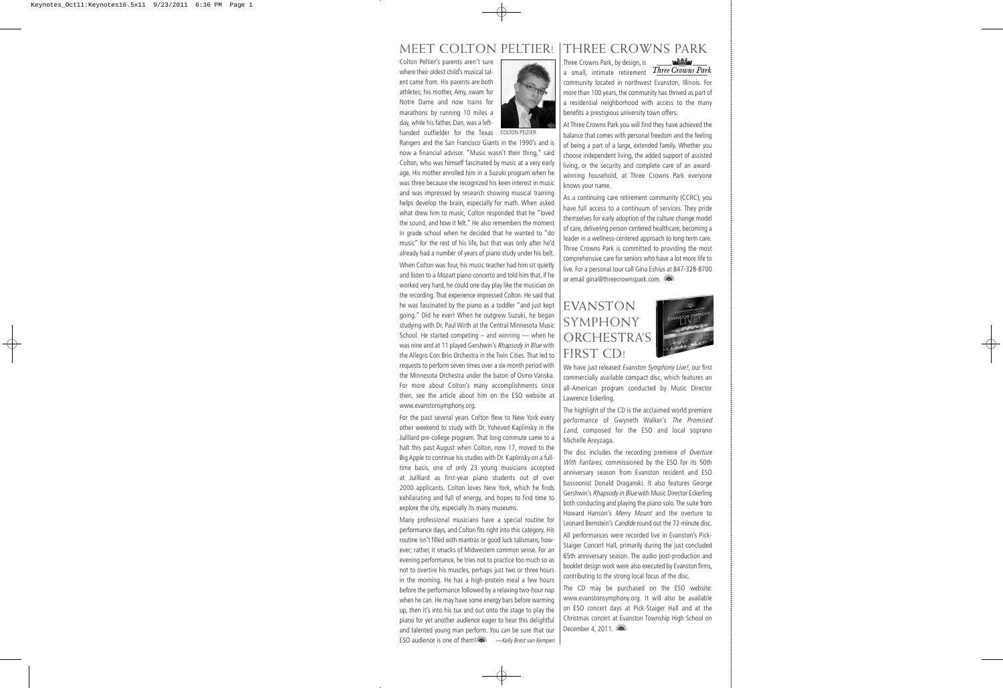## MEET COLTON PELTIER!

Colton Peltier's parents aren't sure where their oldest child's musical talent came from. His parents are both athletes; his mother, Amy, swam for Notre Dame and now trains for marathons by running 10 miles a day, while his father, Dan, was a lefthanded outfielder for the Texas



Rangers and the San Francisco Giants in the 1990's and is now a financial advisor. "Music wasn't their thing," said Colton, who was himself fascinated by music at a very early age. His mother enrolled him in a Suzuki program when he was three because she recognized his keen interest in music and was impressed by research showing musical training helps develop the brain, especially for math. When asked what drew him to music, Colton responded that he "loved the sound, and how it felt." He also remembers the moment in grade school when he decided that he wanted to "do music" for the rest of his life, but that was only after he'd already had a number of years of piano study under his belt. When Colton was four, his music teacher had him sit quietly and listen to a Mozart piano concerto and told him that, if he worked very hard, he could one day play like the musician on the recording. That experience impressed Colton. He said that he was fascinated by the piano as a toddler "and just kept going." Did he ever! When he outgrew Suzuki, he began studying with Dr. Paul Wirth at the Central Minnesota Music School. He started competing  $-$  and winning  $-$  when he was nine and at 11 played Gershwin's Rhapsody in Blue with the Allegro Con Brio Orchestra in the Twin Cities. That led to requests to perform seven times over a six-month period with the Minnesota Orchestra under the baton of Osmo Vanska. For more about Colton's many accomplishments since then, see the article about him on the ESO website at www.evanstonsymphony.org.

For the past several years Colton flew to New York every other weekend to study with Dr. Yoheved Kaplinsky in the Juilliard pre-college program. That long commute came to a halt this past August when Colton, now 17, moved to the Big Apple to continue his studies with Dr. Kaplinsky on a fulltime basis, one of only 23 young musicians accepted at Juilliard as first-year piano students out of over 2000 applicants. Colton loves New York, which he finds exhilarating and full of energy, and hopes to find time to explore the city, especially its many museums.

Many professional musicians have a special routine for performance days, and Colton fits right into this category. His routine isn't filled with mantras or good luck talismans, however; rather, it smacks of Midwestern common sense. For an evening performance, he tries not to practice too much so as not to overtire his muscles, perhaps just two or three hours in the morning. He has a high-protein meal a few hours before the performance followed by a relaxing two-hour nap when he can. He may have some energy bars before warming up, then it's into his tux and out onto the stage to play the piano for yet another audience eager to hear this delightful and talented young man perform. You can be sure that our ESO audience is one of them!  $\quad$  — Kelly Brest van Kempen

#### THREE CROWNS PARK

Three Crowns Park, by design, is

**Lag Strategy Three Crowns Park** 

a small, intimate retirement community located in northwest Evanston, Illinois. For more than 100 years, the community has thrived as part of a residential neighborhood with access to the many benefits a prestigious university town offers.

At Three Crowns Park you will find they have achieved the balance that comes with personal freedom and the feeling of being a part of a large, extended family. Whether you choose independent living, the added support of assisted living, or the security and complete care of an award winning household, at Three Crowns Park everyone knows your name.

As a continuing care retirement community (CCRC), you have full access to a continuum of services. They pride themselves for early adoption of the culture change model of care, delivering person-centered healthcare, becoming a leader in a wellness-centered approach to long term care. Three Crowns Park is committed to providing the most comprehensive care for seniors who have a lot more life to live. For a personal tour call Gina Eshius at 847-328-8700 or email gina@threecrownspark.com.

## EVANSTON SYMPHONY ORCHESTRA'S FIRST CD!



We have just released Evanston Symphony Live!, our first commercially available compact disc, which features an all-American program conducted by Music Director Lawrence Eckerling.

The highlight of the CD is the acclaimed world premiere performance of Gwyneth Walker's The Promised Land, composed for the ESO and local soprano Michelle Areyzaga.

The disc includes the recording premiere of Overture With Fanfares, commissioned by the ESO for its 50th anniversary season from Evanston resident and ESO bassoonist Donald Draganski. It also features George Gershwin's Rhapsody in Blue with Music Director Eckerling both conducting and playing the piano solo. The suite from Howard Hanson's Merry Mount and the overture to Leonard Bernstein's Candide round out the 72-minute disc.

All performances were recorded live in Evanston's Pick-Staiger Concert Hall, primarily during the just concluded 65th anniversary season. The audio post-production and booklet design work were also executed by Evanston firms, contributing to the strong local focus of the disc.

The CD may be purchased on the ESO website: www.evanstonsymphony.org. It will also be available on ESO concert days at Pick-Staiger Hall and at the Christmas concert at Evanston Township High School on December 4, 2011.